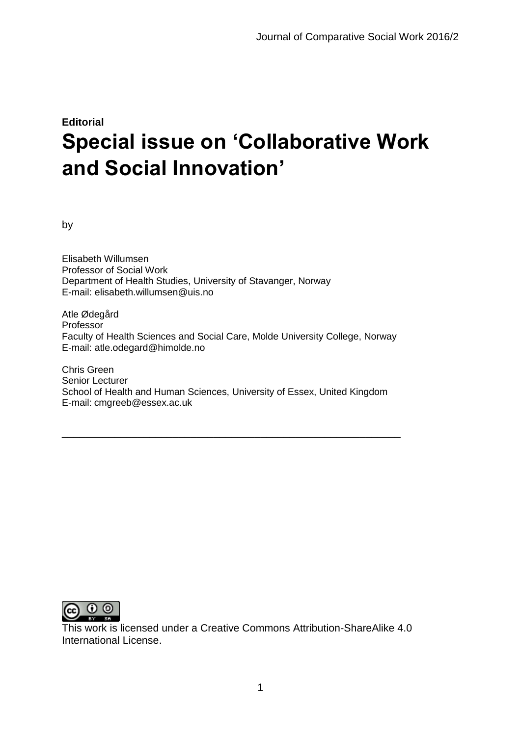## **Editorial Special issue on 'Collaborative Work and Social Innovation'**

by

Elisabeth Willumsen Professor of Social Work Department of Health Studies, University of Stavanger, Norway E-mail: elisabeth.willumsen@uis.no

Atle Ødegård Professor Faculty of Health Sciences and Social Care, Molde University College, Norway E-mail: atle.odegard@himolde.no

Chris Green Senior Lecturer School of Health and Human Sciences, University of Essex, United Kingdom E-mail: cmgreeb@essex.ac.uk

\_\_\_\_\_\_\_\_\_\_\_\_\_\_\_\_\_\_\_\_\_\_\_\_\_\_\_\_\_\_\_\_\_\_\_\_\_\_\_\_\_\_\_\_\_\_\_\_\_\_\_\_\_\_\_\_\_\_



This work is licensed under a Creative Commons Attribution-ShareAlike 4.0 International License.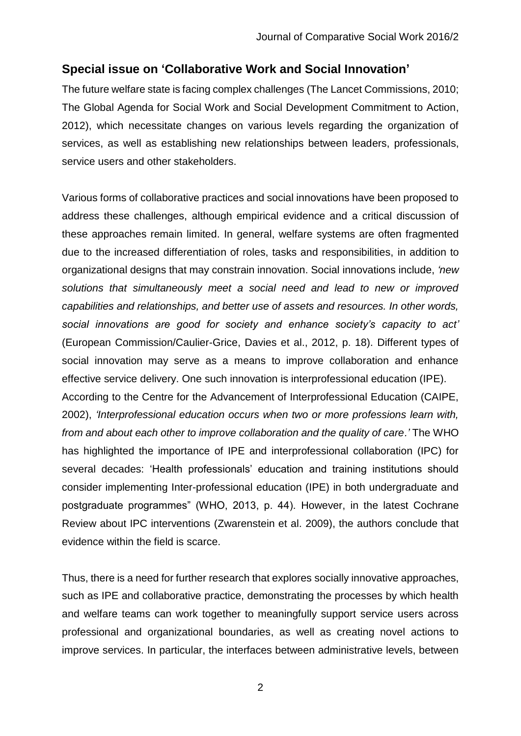## **Special issue on 'Collaborative Work and Social Innovation'**

The future welfare state is facing complex challenges (The Lancet Commissions, 2010; The Global Agenda for Social Work and Social Development Commitment to Action, 2012), which necessitate changes on various levels regarding the organization of services, as well as establishing new relationships between leaders, professionals, service users and other stakeholders.

Various forms of collaborative practices and social innovations have been proposed to address these challenges, although empirical evidence and a critical discussion of these approaches remain limited. In general, welfare systems are often fragmented due to the increased differentiation of roles, tasks and responsibilities, in addition to organizational designs that may constrain innovation. Social innovations include, *'new solutions that simultaneously meet a social need and lead to new or improved capabilities and relationships, and better use of assets and resources. In other words, social innovations are good for society and enhance society's capacity to act'* (European Commission/Caulier-Grice, Davies et al., 2012, p. 18). Different types of social innovation may serve as a means to improve collaboration and enhance effective service delivery. One such innovation is interprofessional education (IPE). According to the Centre for the Advancement of Interprofessional Education (CAIPE, 2002), *'Interprofessional education occurs when two or more professions learn with, from and about each other to improve collaboration and the quality of care.'* The WHO

has highlighted the importance of IPE and interprofessional collaboration (IPC) for several decades: 'Health professionals' education and training institutions should consider implementing Inter-professional education (IPE) in both undergraduate and postgraduate programmes" (WHO, 2013, p. 44). However, in the latest Cochrane Review about IPC interventions (Zwarenstein et al. 2009), the authors conclude that evidence within the field is scarce.

Thus, there is a need for further research that explores socially innovative approaches, such as IPE and collaborative practice, demonstrating the processes by which health and welfare teams can work together to meaningfully support service users across professional and organizational boundaries, as well as creating novel actions to improve services. In particular, the interfaces between administrative levels, between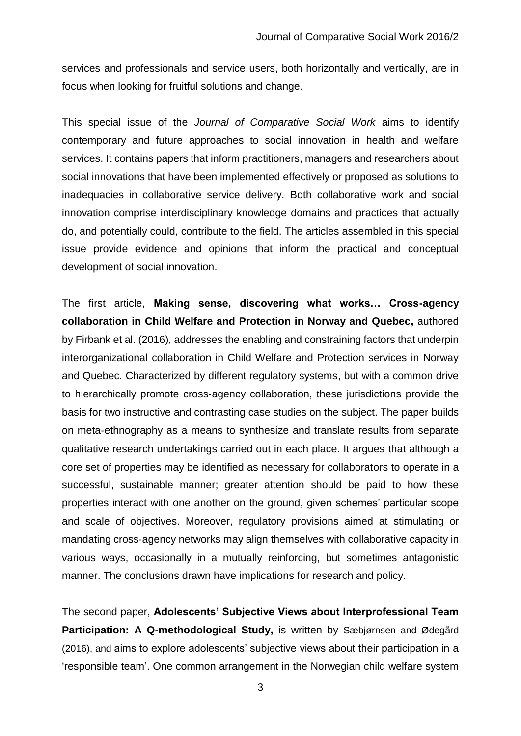services and professionals and service users, both horizontally and vertically, are in focus when looking for fruitful solutions and change.

This special issue of the *Journal of Comparative Social Work* aims to identify contemporary and future approaches to social innovation in health and welfare services. It contains papers that inform practitioners, managers and researchers about social innovations that have been implemented effectively or proposed as solutions to inadequacies in collaborative service delivery. Both collaborative work and social innovation comprise interdisciplinary knowledge domains and practices that actually do, and potentially could, contribute to the field. The articles assembled in this special issue provide evidence and opinions that inform the practical and conceptual development of social innovation.

The first article, **Making sense, discovering what works… Cross-agency collaboration in Child Welfare and Protection in Norway and Quebec,** authored by Firbank et al. (2016), addresses the enabling and constraining factors that underpin interorganizational collaboration in Child Welfare and Protection services in Norway and Quebec. Characterized by different regulatory systems, but with a common drive to hierarchically promote cross‐agency collaboration, these jurisdictions provide the basis for two instructive and contrasting case studies on the subject. The paper builds on meta‐ethnography as a means to synthesize and translate results from separate qualitative research undertakings carried out in each place. It argues that although a core set of properties may be identified as necessary for collaborators to operate in a successful, sustainable manner; greater attention should be paid to how these properties interact with one another on the ground, given schemes' particular scope and scale of objectives. Moreover, regulatory provisions aimed at stimulating or mandating cross‐agency networks may align themselves with collaborative capacity in various ways, occasionally in a mutually reinforcing, but sometimes antagonistic manner. The conclusions drawn have implications for research and policy.

The second paper, **Adolescents' Subjective Views about Interprofessional Team Participation: A Q-methodological Study,** is written by Sæbjørnsen and Ødegård (2016), and aims to explore adolescents' subjective views about their participation in a 'responsible team'. One common arrangement in the Norwegian child welfare system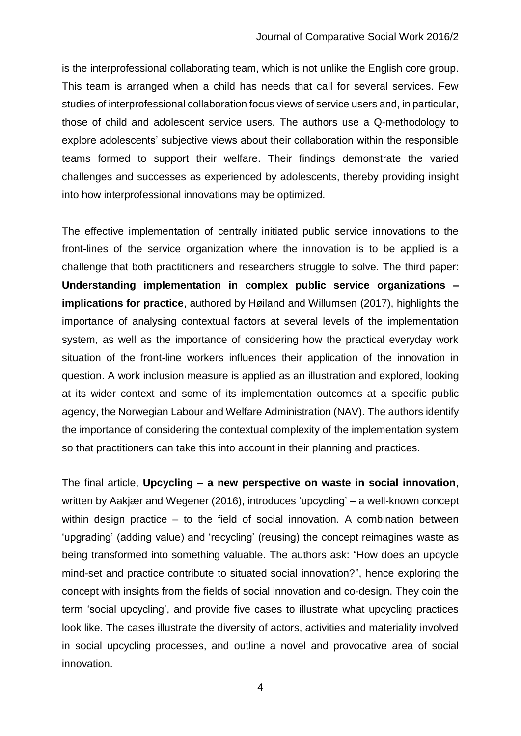is the interprofessional collaborating team, which is not unlike the English core group. This team is arranged when a child has needs that call for several services. Few studies of interprofessional collaboration focus views of service users and, in particular, those of child and adolescent service users. The authors use a Q-methodology to explore adolescents' subjective views about their collaboration within the responsible teams formed to support their welfare. Their findings demonstrate the varied challenges and successes as experienced by adolescents, thereby providing insight into how interprofessional innovations may be optimized.

The effective implementation of centrally initiated public service innovations to the front-lines of the service organization where the innovation is to be applied is a challenge that both practitioners and researchers struggle to solve. The third paper: **Understanding implementation in complex public service organizations – implications for practice**, authored by Høiland and Willumsen (2017), highlights the importance of analysing contextual factors at several levels of the implementation system, as well as the importance of considering how the practical everyday work situation of the front-line workers influences their application of the innovation in question. A work inclusion measure is applied as an illustration and explored, looking at its wider context and some of its implementation outcomes at a specific public agency, the Norwegian Labour and Welfare Administration (NAV). The authors identify the importance of considering the contextual complexity of the implementation system so that practitioners can take this into account in their planning and practices.

The final article, **Upcycling – a new perspective on waste in social innovation**, written by Aakjær and Wegener (2016), introduces 'upcycling' – a well-known concept within design practice – to the field of social innovation. A combination between 'upgrading' (adding value) and 'recycling' (reusing) the concept reimagines waste as being transformed into something valuable. The authors ask: "How does an upcycle mind-set and practice contribute to situated social innovation?", hence exploring the concept with insights from the fields of social innovation and co-design. They coin the term 'social upcycling', and provide five cases to illustrate what upcycling practices look like. The cases illustrate the diversity of actors, activities and materiality involved in social upcycling processes, and outline a novel and provocative area of social innovation.

4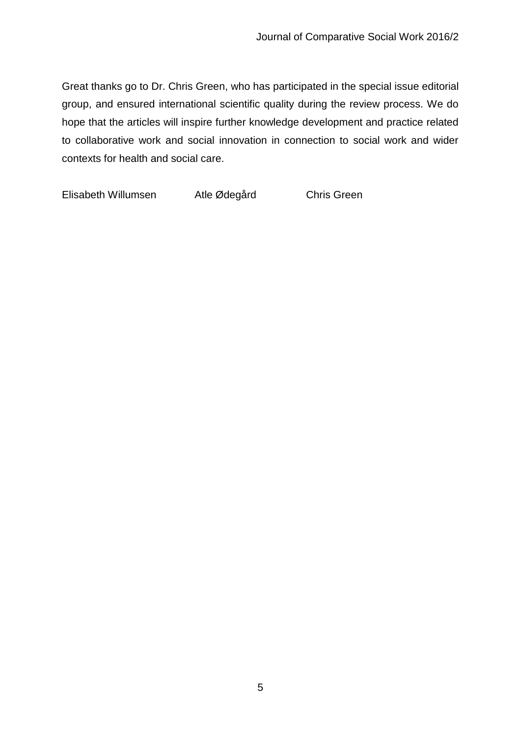Great thanks go to Dr. Chris Green, who has participated in the special issue editorial group, and ensured international scientific quality during the review process. We do hope that the articles will inspire further knowledge development and practice related to collaborative work and social innovation in connection to social work and wider contexts for health and social care.

Elisabeth Willumsen Atle Ødegård Chris Green